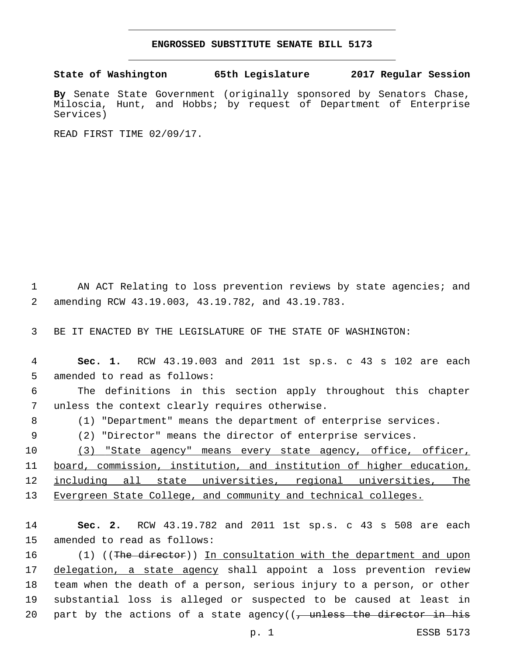## **ENGROSSED SUBSTITUTE SENATE BILL 5173**

## **State of Washington 65th Legislature 2017 Regular Session**

**By** Senate State Government (originally sponsored by Senators Chase, Miloscia, Hunt, and Hobbs; by request of Department of Enterprise Services)

READ FIRST TIME 02/09/17.

1 AN ACT Relating to loss prevention reviews by state agencies; and amending RCW 43.19.003, 43.19.782, and 43.19.783.2

3 BE IT ENACTED BY THE LEGISLATURE OF THE STATE OF WASHINGTON:

4 **Sec. 1.** RCW 43.19.003 and 2011 1st sp.s. c 43 s 102 are each 5 amended to read as follows:

6 The definitions in this section apply throughout this chapter 7 unless the context clearly requires otherwise.

8 (1) "Department" means the department of enterprise services.

9 (2) "Director" means the director of enterprise services.

10 (3) "State agency" means every state agency, office, officer, board, commission, institution, and institution of higher education, including all state universities, regional universities, The Evergreen State College, and community and technical colleges.

14 **Sec. 2.** RCW 43.19.782 and 2011 1st sp.s. c 43 s 508 are each 15 amended to read as follows:

16 (1) ((The director)) In consultation with the department and upon 17 delegation, a state agency shall appoint a loss prevention review 18 team when the death of a person, serious injury to a person, or other 19 substantial loss is alleged or suspected to be caused at least in 20 part by the actions of a state agency( $(-)$  unless the director in his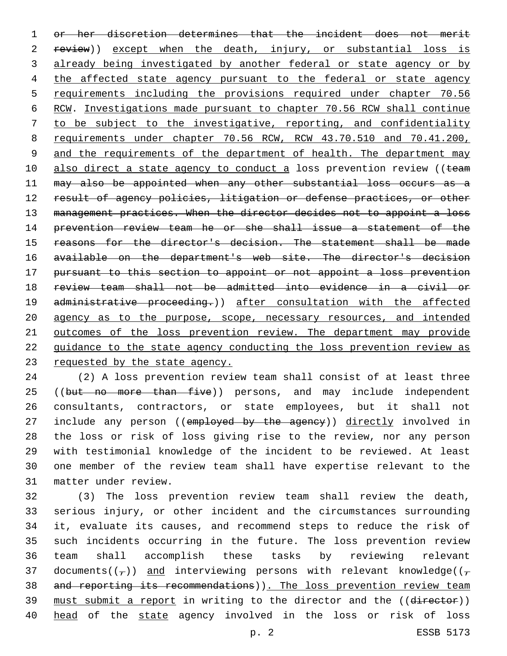or her discretion determines that the incident does not merit 2 review)) except when the death, injury, or substantial loss is 3 already being investigated by another federal or state agency or by 4 the affected state agency pursuant to the federal or state agency requirements including the provisions required under chapter 70.56 RCW. Investigations made pursuant to chapter 70.56 RCW shall continue to be subject to the investigative, reporting, and confidentiality 8 requirements under chapter 70.56 RCW, RCW 43.70.510 and 70.41.200, and the requirements of the department of health. The department may 10 also direct a state agency to conduct a loss prevention review ((team may also be appointed when any other substantial loss occurs as a 12 result of agency policies, litigation or defense practices, or other 13 management practices. When the director decides not to appoint a loss prevention review team he or she shall issue a statement of the reasons for the director's decision. The statement shall be made available on the department's web site. The director's decision pursuant to this section to appoint or not appoint a loss prevention review team shall not be admitted into evidence in a civil or 19 administrative proceeding.)) after consultation with the affected 20 agency as to the purpose, scope, necessary resources, and intended outcomes of the loss prevention review. The department may provide guidance to the state agency conducting the loss prevention review as requested by the state agency.

 (2) A loss prevention review team shall consist of at least three 25 ((but no more than five)) persons, and may include independent consultants, contractors, or state employees, but it shall not 27 include any person ((employed by the ageney)) directly involved in the loss or risk of loss giving rise to the review, nor any person with testimonial knowledge of the incident to be reviewed. At least one member of the review team shall have expertise relevant to the matter under review.31

32 (3) The loss prevention review team shall review the death, 33 serious injury, or other incident and the circumstances surrounding 34 it, evaluate its causes, and recommend steps to reduce the risk of 35 such incidents occurring in the future. The loss prevention review 36 team shall accomplish these tasks by reviewing relevant 37 documents( $(\tau)$ ) and interviewing persons with relevant knowledge( $(\tau)$ 38 and reporting its recommendations)). The loss prevention review team 39 must submit a report in writing to the director and the ((director)) 40 head of the state agency involved in the loss or risk of loss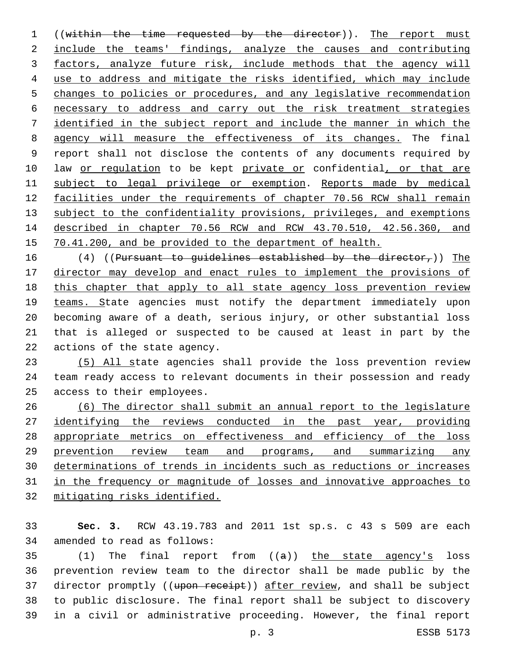((within the time requested by the director)). The report must include the teams' findings, analyze the causes and contributing factors, analyze future risk, include methods that the agency will use to address and mitigate the risks identified, which may include changes to policies or procedures, and any legislative recommendation necessary to address and carry out the risk treatment strategies identified in the subject report and include the manner in which the agency will measure the effectiveness of its changes. The final report shall not disclose the contents of any documents required by 10 law or regulation to be kept private or confidential, or that are subject to legal privilege or exemption. Reports made by medical 12 facilities under the requirements of chapter 70.56 RCW shall remain 13 subject to the confidentiality provisions, privileges, and exemptions described in chapter 70.56 RCW and RCW 43.70.510, 42.56.360, and 70.41.200, and be provided to the department of health.

16 (4) ((Pursuant to guidelines established by the director,)) The director may develop and enact rules to implement the provisions of this chapter that apply to all state agency loss prevention review 19 teams. State agencies must notify the department immediately upon becoming aware of a death, serious injury, or other substantial loss that is alleged or suspected to be caused at least in part by the 22 actions of the state agency.

 (5) All state agencies shall provide the loss prevention review team ready access to relevant documents in their possession and ready 25 access to their employees.

 (6) The director shall submit an annual report to the legislature identifying the reviews conducted in the past year, providing appropriate metrics on effectiveness and efficiency of the loss prevention review team and programs, and summarizing any determinations of trends in incidents such as reductions or increases in the frequency or magnitude of losses and innovative approaches to mitigating risks identified.

 **Sec. 3.** RCW 43.19.783 and 2011 1st sp.s. c 43 s 509 are each 34 amended to read as follows:

 $(1)$  The final report from  $((a))$  the state agency's loss prevention review team to the director shall be made public by the 37 director promptly ((upon receipt)) after review, and shall be subject to public disclosure. The final report shall be subject to discovery in a civil or administrative proceeding. However, the final report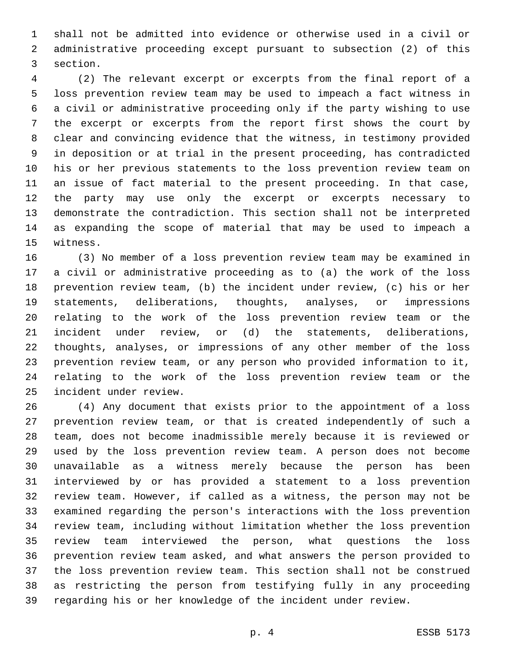shall not be admitted into evidence or otherwise used in a civil or administrative proceeding except pursuant to subsection (2) of this 3 section.

 (2) The relevant excerpt or excerpts from the final report of a loss prevention review team may be used to impeach a fact witness in a civil or administrative proceeding only if the party wishing to use the excerpt or excerpts from the report first shows the court by clear and convincing evidence that the witness, in testimony provided in deposition or at trial in the present proceeding, has contradicted his or her previous statements to the loss prevention review team on an issue of fact material to the present proceeding. In that case, the party may use only the excerpt or excerpts necessary to demonstrate the contradiction. This section shall not be interpreted as expanding the scope of material that may be used to impeach a 15 witness.

 (3) No member of a loss prevention review team may be examined in a civil or administrative proceeding as to (a) the work of the loss prevention review team, (b) the incident under review, (c) his or her statements, deliberations, thoughts, analyses, or impressions relating to the work of the loss prevention review team or the incident under review, or (d) the statements, deliberations, thoughts, analyses, or impressions of any other member of the loss prevention review team, or any person who provided information to it, relating to the work of the loss prevention review team or the 25 incident under review.

 (4) Any document that exists prior to the appointment of a loss prevention review team, or that is created independently of such a team, does not become inadmissible merely because it is reviewed or used by the loss prevention review team. A person does not become unavailable as a witness merely because the person has been interviewed by or has provided a statement to a loss prevention review team. However, if called as a witness, the person may not be examined regarding the person's interactions with the loss prevention review team, including without limitation whether the loss prevention review team interviewed the person, what questions the loss prevention review team asked, and what answers the person provided to the loss prevention review team. This section shall not be construed as restricting the person from testifying fully in any proceeding regarding his or her knowledge of the incident under review.